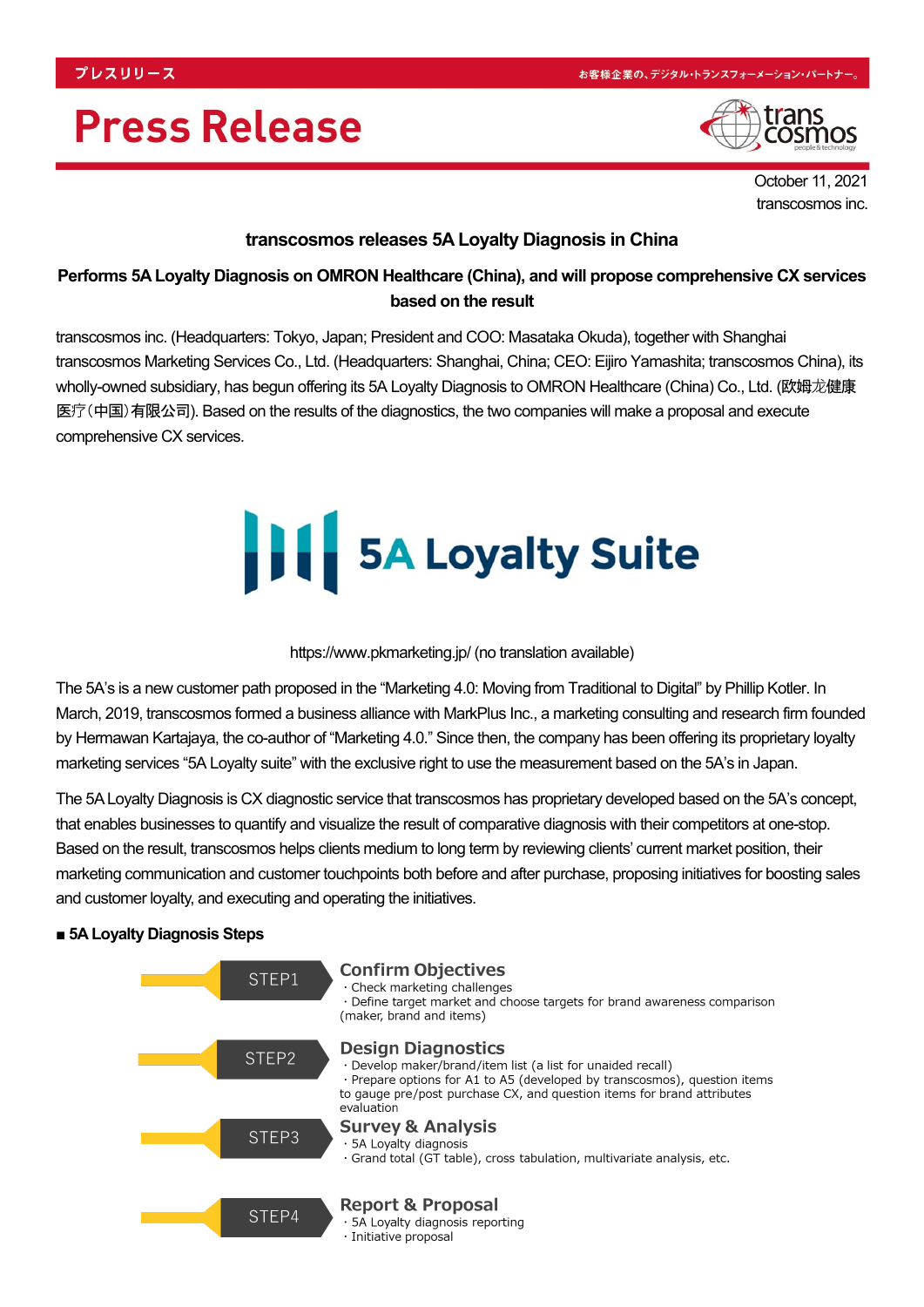# **Press Release**



October 11, 2021 transcosmos inc.

### **transcosmos releases 5A Loyalty Diagnosis in China**

## **Performs 5A Loyalty Diagnosis on OMRON Healthcare (China), and will propose comprehensive CX services based on the result**

transcosmos inc. (Headquarters: Tokyo, Japan; President and COO: Masataka Okuda), together with Shanghai transcosmos Marketing Services Co., Ltd. (Headquarters: Shanghai, China; CEO: Eijiro Yamashita; transcosmos China), its wholly-owned subsidiary, has begun offering its 5A Loyalty Diagnosis to OMRON Healthcare (China) Co., Ltd. (欧姆龙健康 医疗(中国)有限公司). Based on the results of the diagnostics, the two companies will make a proposal and execute comprehensive CX services.

# **11 5A Loyalty Suite**

#### https://www.pkmarketing.jp/ (no translation available)

The 5A's is a new customer path proposed in the "Marketing 4.0: Moving from Traditional to Digital" by Phillip Kotler. In March, 2019, transcosmos formed a business alliance with MarkPlus Inc., a marketing consulting and research firm founded by Hermawan Kartajaya, the co-author of "Marketing 4.0." Since then, the company has been offering its proprietary loyalty marketing services "5A Loyalty suite" with the exclusive right to use the measurement based on the 5A's in Japan.

The 5A Loyalty Diagnosis is CX diagnostic service that transcosmos has proprietary developed based on the 5A's concept, that enables businesses to quantify and visualize the result of comparative diagnosis with their competitors at one-stop. Based on the result, transcosmos helps clients medium to long term by reviewing clients' current market position, their marketing communication and customer touchpoints both before and after purchase, proposing initiatives for boosting sales and customer loyalty, and executing and operating the initiatives.

#### **■ 5A Loyalty Diagnosis Steps**